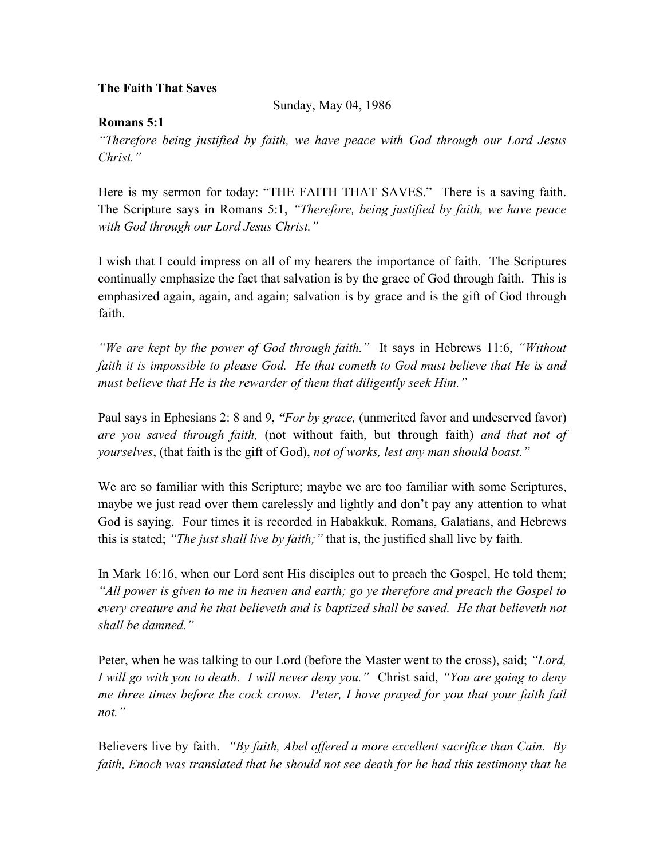## **The Faith That Saves**

Sunday, May 04, 1986

## **Romans 5:1**

*"Therefore being justified by faith, we have peace with God through our Lord Jesus Christ."*

Here is my sermon for today: "THE FAITH THAT SAVES." There is a saving faith. The Scripture says in Romans 5:1, *"Therefore, being justified by faith, we have peace with God through our Lord Jesus Christ."*

I wish that I could impress on all of my hearers the importance of faith. The Scriptures continually emphasize the fact that salvation is by the grace of God through faith. This is emphasized again, again, and again; salvation is by grace and is the gift of God through faith.

*"We are kept by the power of God through faith."* It says in Hebrews 11:6, *"Without faith it is impossible to please God. He that cometh to God must believe that He is and must believe that He is the rewarder of them that diligently seek Him."*

Paul says in Ephesians 2: 8 and 9, *"For by grace,* (unmerited favor and undeserved favor) *are you saved through faith,* (not without faith, but through faith) *and that not of yourselves*, (that faith is the gift of God), *not of works, lest any man should boast."* 

We are so familiar with this Scripture; maybe we are too familiar with some Scriptures, maybe we just read over them carelessly and lightly and don't pay any attention to what God is saying. Four times it is recorded in Habakkuk, Romans, Galatians, and Hebrews this is stated; *"The just shall live by faith;"* that is, the justified shall live by faith.

In Mark 16:16, when our Lord sent His disciples out to preach the Gospel, He told them; *"All power is given to me in heaven and earth; go ye therefore and preach the Gospel to every creature and he that believeth and is baptized shall be saved. He that believeth not shall be damned."*

Peter, when he was talking to our Lord (before the Master went to the cross), said; *"Lord, I will go with you to death. I will never deny you."* Christ said, *"You are going to deny me three times before the cock crows. Peter, I have prayed for you that your faith fail not."* 

Believers live by faith. *"By faith, Abel offered a more excellent sacrifice than Cain. By faith, Enoch was translated that he should not see death for he had this testimony that he*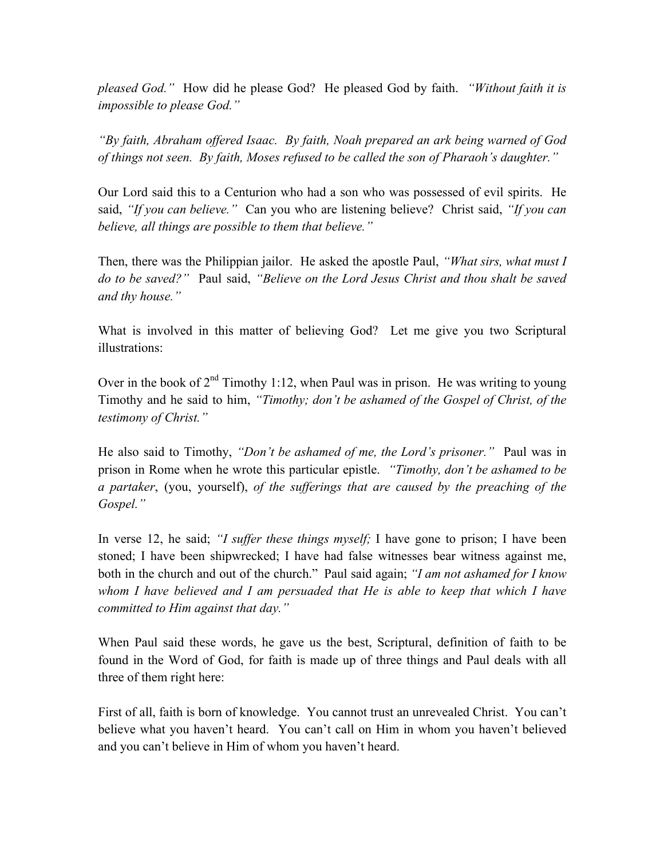*pleased God."* How did he please God? He pleased God by faith. *"Without faith it is impossible to please God."*

*"By faith, Abraham offered Isaac. By faith, Noah prepared an ark being warned of God of things not seen. By faith, Moses refused to be called the son of Pharaoh's daughter."*

Our Lord said this to a Centurion who had a son who was possessed of evil spirits. He said, *"If you can believe."* Can you who are listening believe? Christ said, *"If you can believe, all things are possible to them that believe."*

Then, there was the Philippian jailor. He asked the apostle Paul, *"What sirs, what must I do to be saved?"* Paul said, *"Believe on the Lord Jesus Christ and thou shalt be saved and thy house."* 

What is involved in this matter of believing God? Let me give you two Scriptural illustrations:

Over in the book of  $2<sup>nd</sup>$  Timothy 1:12, when Paul was in prison. He was writing to young Timothy and he said to him, *"Timothy; don't be ashamed of the Gospel of Christ, of the testimony of Christ."*

He also said to Timothy, *"Don't be ashamed of me, the Lord's prisoner."* Paul was in prison in Rome when he wrote this particular epistle. *"Timothy, don't be ashamed to be a partaker*, (you, yourself), *of the sufferings that are caused by the preaching of the Gospel."*

In verse 12, he said; *"I suffer these things myself;* I have gone to prison; I have been stoned; I have been shipwrecked; I have had false witnesses bear witness against me, both in the church and out of the church."Paul said again; *"I am not ashamed for I know whom I have believed and I am persuaded that He is able to keep that which I have committed to Him against that day."*

When Paul said these words, he gave us the best, Scriptural, definition of faith to be found in the Word of God, for faith is made up of three things and Paul deals with all three of them right here:

First of all, faith is born of knowledge. You cannot trust an unrevealed Christ. You can't believe what you haven't heard. You can't call on Him in whom you haven't believed and you can't believe in Him of whom you haven't heard.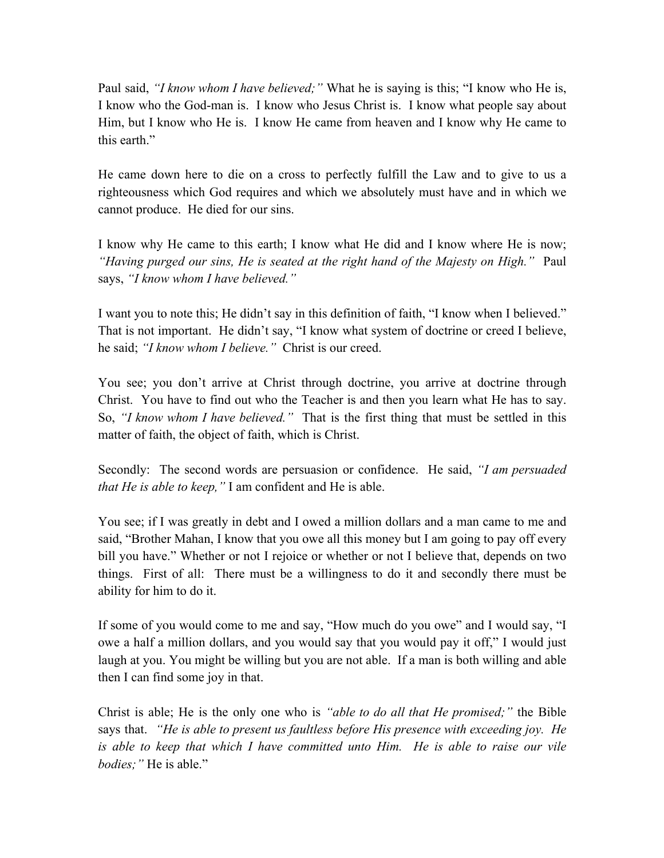Paul said, *"I know whom I have believed;"* What he is saying is this; "I know who He is, I know who the God-man is. I know who Jesus Christ is. I know what people say about Him, but I know who He is. I know He came from heaven and I know why He came to this earth."

He came down here to die on a cross to perfectly fulfill the Law and to give to us a righteousness which God requires and which we absolutely must have and in which we cannot produce. He died for our sins.

I know why He came to this earth; I know what He did and I know where He is now; *"Having purged our sins, He is seated at the right hand of the Majesty on High."* Paul says, *"I know whom I have believed."*

I want you to note this; He didn't say in this definition of faith, "I know when I believed." That is not important. He didn't say, "I know what system of doctrine or creed I believe, he said; *"I know whom I believe."* Christ is our creed.

You see; you don't arrive at Christ through doctrine, you arrive at doctrine through Christ. You have to find out who the Teacher is and then you learn what He has to say. So, *"I know whom I have believed."* That is the first thing that must be settled in this matter of faith, the object of faith, which is Christ.

Secondly: The second words are persuasion or confidence. He said, *"I am persuaded that He is able to keep,"* I am confident and He is able.

You see; if I was greatly in debt and I owed a million dollars and a man came to me and said, "Brother Mahan, I know that you owe all this money but I am going to pay off every bill you have." Whether or not I rejoice or whether or not I believe that, depends on two things. First of all: There must be a willingness to do it and secondly there must be ability for him to do it.

If some of you would come to me and say, "How much do you owe" and I would say, "I owe a half a million dollars, and you would say that you would pay it off," I would just laugh at you. You might be willing but you are not able. If a man is both willing and able then I can find some joy in that.

Christ is able; He is the only one who is *"able to do all that He promised;"* the Bible says that. *"He is able to present us faultless before His presence with exceeding joy. He is able to keep that which I have committed unto Him. He is able to raise our vile bodies;"* He is able."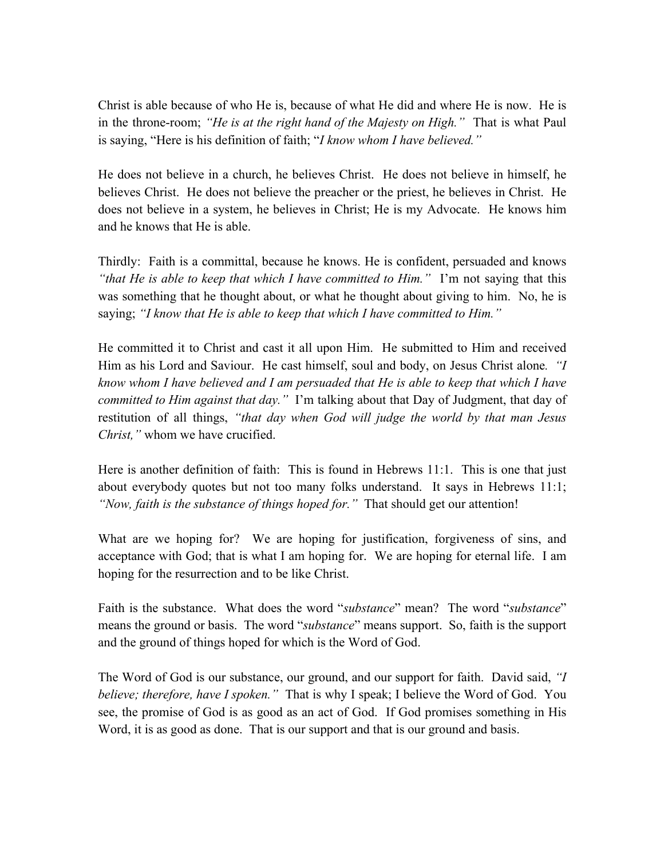Christ is able because of who He is, because of what He did and where He is now. He is in the throne-room; *"He is at the right hand of the Majesty on High."* That is what Paul is saying, "Here is his definition of faith; "*I know whom I have believed."*

He does not believe in a church, he believes Christ. He does not believe in himself, he believes Christ. He does not believe the preacher or the priest, he believes in Christ. He does not believe in a system, he believes in Christ; He is my Advocate. He knows him and he knows that He is able.

Thirdly: Faith is a committal, because he knows. He is confident, persuaded and knows *"that He is able to keep that which I have committed to Him."* I'm not saying that this was something that he thought about, or what he thought about giving to him. No, he is saying; *"I know that He is able to keep that which I have committed to Him."* 

He committed it to Christ and cast it all upon Him. He submitted to Him and received Him as his Lord and Saviour. He cast himself, soul and body, on Jesus Christ alone*. "I know whom I have believed and I am persuaded that He is able to keep that which I have committed to Him against that day."* I'm talking about that Day of Judgment, that day of restitution of all things, *"that day when God will judge the world by that man Jesus Christ,"* whom we have crucified.

Here is another definition of faith: This is found in Hebrews 11:1. This is one that just about everybody quotes but not too many folks understand. It says in Hebrews 11:1; *"Now, faith is the substance of things hoped for."* That should get our attention!

What are we hoping for? We are hoping for justification, forgiveness of sins, and acceptance with God; that is what I am hoping for. We are hoping for eternal life. I am hoping for the resurrection and to be like Christ.

Faith is the substance. What does the word "*substance*" mean? The word "*substance*" means the ground or basis. The word "*substance*" means support. So, faith is the support and the ground of things hoped for which is the Word of God.

The Word of God is our substance, our ground, and our support for faith. David said, *"I believe; therefore, have I spoken."* That is why I speak; I believe the Word of God. You see, the promise of God is as good as an act of God. If God promises something in His Word, it is as good as done. That is our support and that is our ground and basis.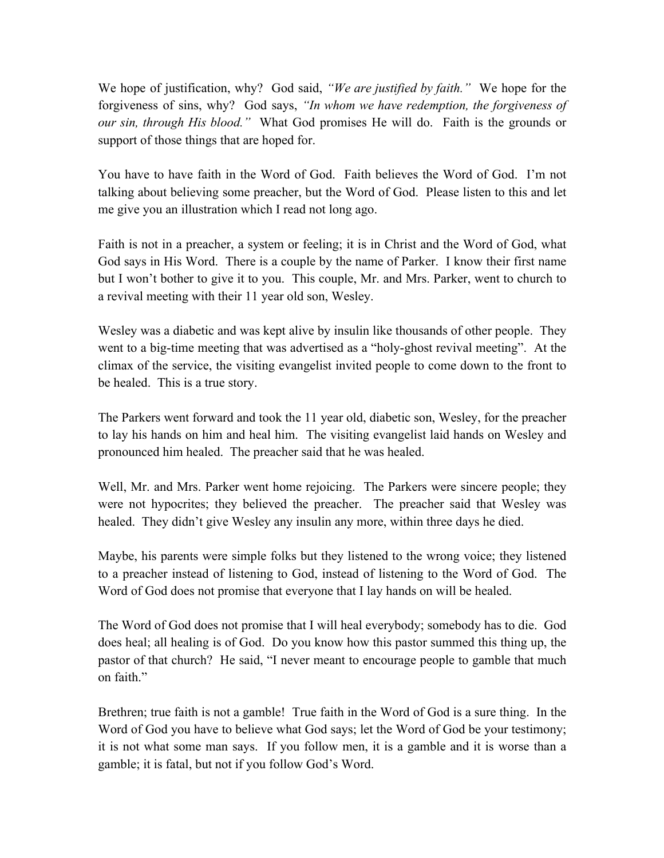We hope of justification, why? God said, *"We are justified by faith."* We hope for the forgiveness of sins, why? God says, *"In whom we have redemption, the forgiveness of our sin, through His blood."* What God promises He will do. Faith is the grounds or support of those things that are hoped for.

You have to have faith in the Word of God. Faith believes the Word of God. I'm not talking about believing some preacher, but the Word of God. Please listen to this and let me give you an illustration which I read not long ago.

Faith is not in a preacher, a system or feeling; it is in Christ and the Word of God, what God says in His Word. There is a couple by the name of Parker. I know their first name but I won't bother to give it to you. This couple, Mr. and Mrs. Parker, went to church to a revival meeting with their 11 year old son, Wesley.

Wesley was a diabetic and was kept alive by insulin like thousands of other people. They went to a big-time meeting that was advertised as a "holy-ghost revival meeting". At the climax of the service, the visiting evangelist invited people to come down to the front to be healed. This is a true story.

The Parkers went forward and took the 11 year old, diabetic son, Wesley, for the preacher to lay his hands on him and heal him. The visiting evangelist laid hands on Wesley and pronounced him healed. The preacher said that he was healed.

Well, Mr. and Mrs. Parker went home rejoicing. The Parkers were sincere people; they were not hypocrites; they believed the preacher. The preacher said that Wesley was healed. They didn't give Wesley any insulin any more, within three days he died.

Maybe, his parents were simple folks but they listened to the wrong voice; they listened to a preacher instead of listening to God, instead of listening to the Word of God. The Word of God does not promise that everyone that I lay hands on will be healed.

The Word of God does not promise that I will heal everybody; somebody has to die. God does heal; all healing is of God. Do you know how this pastor summed this thing up, the pastor of that church? He said, "I never meant to encourage people to gamble that much on faith."

Brethren; true faith is not a gamble! True faith in the Word of God is a sure thing. In the Word of God you have to believe what God says; let the Word of God be your testimony; it is not what some man says. If you follow men, it is a gamble and it is worse than a gamble; it is fatal, but not if you follow God's Word.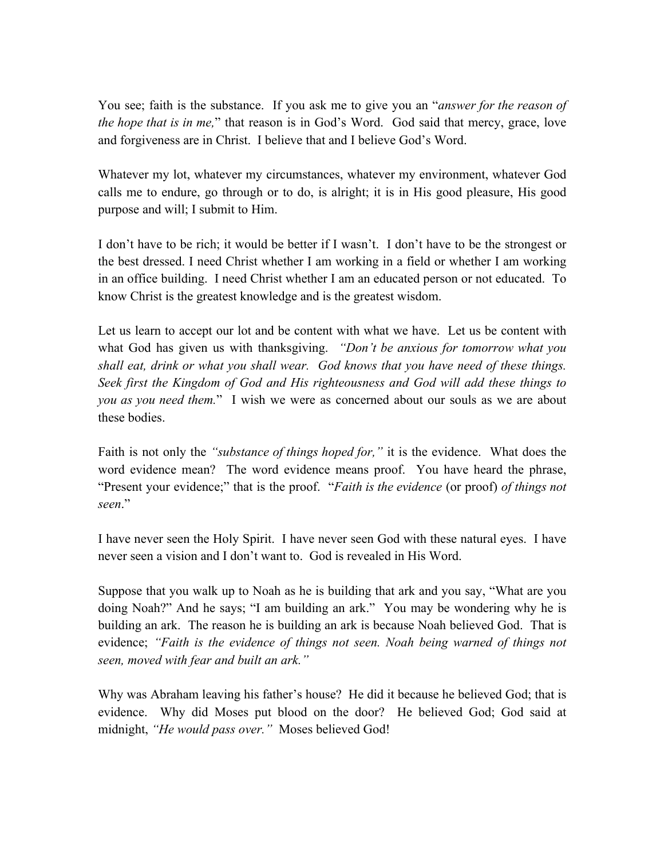You see; faith is the substance. If you ask me to give you an "*answer for the reason of the hope that is in me,*" that reason is in God's Word. God said that mercy, grace, love and forgiveness are in Christ. I believe that and I believe God's Word.

Whatever my lot, whatever my circumstances, whatever my environment, whatever God calls me to endure, go through or to do, is alright; it is in His good pleasure, His good purpose and will; I submit to Him.

I don't have to be rich; it would be better if I wasn't. I don't have to be the strongest or the best dressed. I need Christ whether I am working in a field or whether I am working in an office building. I need Christ whether I am an educated person or not educated. To know Christ is the greatest knowledge and is the greatest wisdom.

Let us learn to accept our lot and be content with what we have. Let us be content with what God has given us with thanksgiving. *"Don't be anxious for tomorrow what you shall eat, drink or what you shall wear. God knows that you have need of these things. Seek first the Kingdom of God and His righteousness and God will add these things to you as you need them.*" I wish we were as concerned about our souls as we are about these bodies.

Faith is not only the *"substance of things hoped for,"* it is the evidence. What does the word evidence mean? The word evidence means proof. You have heard the phrase, "Present your evidence;" that is the proof. "*Faith is the evidence* (or proof) *of things not seen*."

I have never seen the Holy Spirit. I have never seen God with these natural eyes. I have never seen a vision and I don't want to. God is revealed in His Word.

Suppose that you walk up to Noah as he is building that ark and you say, "What are you doing Noah?" And he says; "I am building an ark." You may be wondering why he is building an ark. The reason he is building an ark is because Noah believed God. That is evidence; *"Faith is the evidence of things not seen. Noah being warned of things not seen, moved with fear and built an ark."* 

Why was Abraham leaving his father's house? He did it because he believed God; that is evidence. Why did Moses put blood on the door? He believed God; God said at midnight, *"He would pass over."* Moses believed God!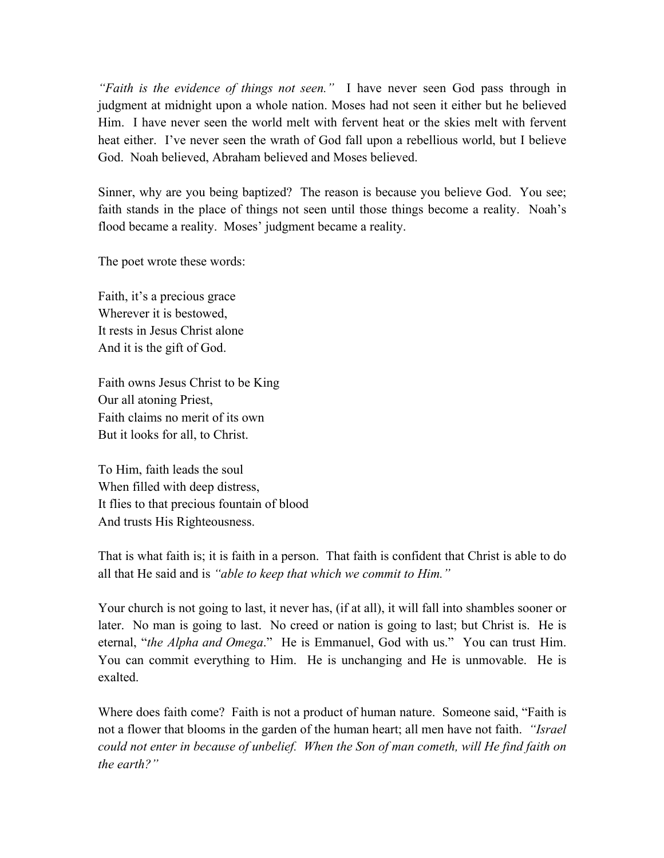*"Faith is the evidence of things not seen."* I have never seen God pass through in judgment at midnight upon a whole nation. Moses had not seen it either but he believed Him. I have never seen the world melt with fervent heat or the skies melt with fervent heat either. I've never seen the wrath of God fall upon a rebellious world, but I believe God. Noah believed, Abraham believed and Moses believed.

Sinner, why are you being baptized? The reason is because you believe God. You see; faith stands in the place of things not seen until those things become a reality. Noah's flood became a reality. Moses' judgment became a reality.

The poet wrote these words:

Faith, it's a precious grace Wherever it is bestowed, It rests in Jesus Christ alone And it is the gift of God.

Faith owns Jesus Christ to be King Our all atoning Priest, Faith claims no merit of its own But it looks for all, to Christ.

To Him, faith leads the soul When filled with deep distress, It flies to that precious fountain of blood And trusts His Righteousness.

That is what faith is; it is faith in a person. That faith is confident that Christ is able to do all that He said and is *"able to keep that which we commit to Him."*

Your church is not going to last, it never has, (if at all), it will fall into shambles sooner or later. No man is going to last. No creed or nation is going to last; but Christ is. He is eternal, "*the Alpha and Omega*." He is Emmanuel, God with us." You can trust Him. You can commit everything to Him. He is unchanging and He is unmovable. He is exalted.

Where does faith come? Faith is not a product of human nature. Someone said, "Faith is not a flower that blooms in the garden of the human heart; all men have not faith. *"Israel could not enter in because of unbelief. When the Son of man cometh, will He find faith on the earth?"*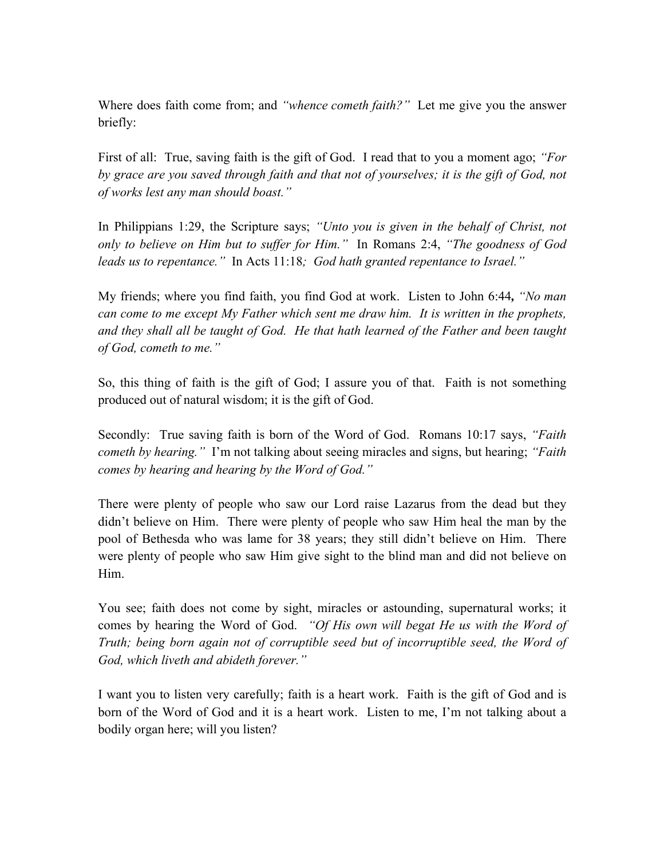Where does faith come from; and *"whence cometh faith?"* Let me give you the answer briefly:

First of all: True, saving faith is the gift of God. I read that to you a moment ago; *"For by grace are you saved through faith and that not of yourselves; it is the gift of God, not of works lest any man should boast."*

In Philippians 1:29, the Scripture says; *"Unto you is given in the behalf of Christ, not only to believe on Him but to suffer for Him."* In Romans 2:4, *"The goodness of God leads us to repentance."* In Acts 11:18*; God hath granted repentance to Israel."*

My friends; where you find faith, you find God at work. Listen to John 6:44*, "No man can come to me except My Father which sent me draw him. It is written in the prophets, and they shall all be taught of God. He that hath learned of the Father and been taught of God, cometh to me."*

So, this thing of faith is the gift of God; I assure you of that. Faith is not something produced out of natural wisdom; it is the gift of God.

Secondly: True saving faith is born of the Word of God. Romans 10:17 says, *"Faith cometh by hearing."* I'm not talking about seeing miracles and signs, but hearing; *"Faith comes by hearing and hearing by the Word of God."*

There were plenty of people who saw our Lord raise Lazarus from the dead but they didn't believe on Him. There were plenty of people who saw Him heal the man by the pool of Bethesda who was lame for 38 years; they still didn't believe on Him. There were plenty of people who saw Him give sight to the blind man and did not believe on Him.

You see; faith does not come by sight, miracles or astounding, supernatural works; it comes by hearing the Word of God. *"Of His own will begat He us with the Word of Truth; being born again not of corruptible seed but of incorruptible seed, the Word of God, which liveth and abideth forever."*

I want you to listen very carefully; faith is a heart work. Faith is the gift of God and is born of the Word of God and it is a heart work. Listen to me, I'm not talking about a bodily organ here; will you listen?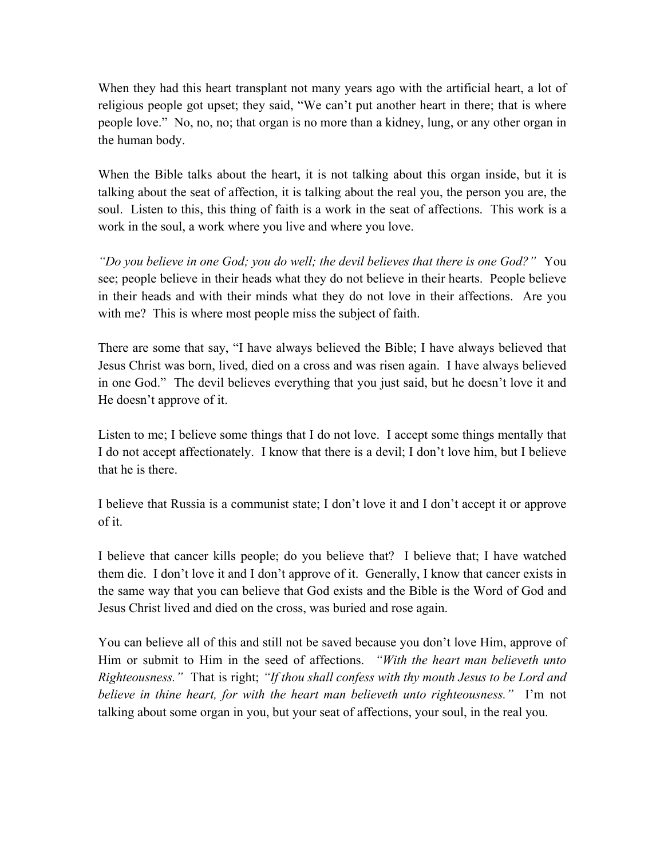When they had this heart transplant not many years ago with the artificial heart, a lot of religious people got upset; they said, "We can't put another heart in there; that is where people love." No, no, no; that organ is no more than a kidney, lung, or any other organ in the human body.

When the Bible talks about the heart, it is not talking about this organ inside, but it is talking about the seat of affection, it is talking about the real you, the person you are, the soul. Listen to this, this thing of faith is a work in the seat of affections. This work is a work in the soul, a work where you live and where you love.

*"Do you believe in one God; you do well; the devil believes that there is one God?"* You see; people believe in their heads what they do not believe in their hearts. People believe in their heads and with their minds what they do not love in their affections. Are you with me? This is where most people miss the subject of faith.

There are some that say, "I have always believed the Bible; I have always believed that Jesus Christ was born, lived, died on a cross and was risen again. I have always believed in one God." The devil believes everything that you just said, but he doesn't love it and He doesn't approve of it.

Listen to me; I believe some things that I do not love. I accept some things mentally that I do not accept affectionately. I know that there is a devil; I don't love him, but I believe that he is there.

I believe that Russia is a communist state; I don't love it and I don't accept it or approve of it.

I believe that cancer kills people; do you believe that? I believe that; I have watched them die. I don't love it and I don't approve of it. Generally, I know that cancer exists in the same way that you can believe that God exists and the Bible is the Word of God and Jesus Christ lived and died on the cross, was buried and rose again.

You can believe all of this and still not be saved because you don't love Him, approve of Him or submit to Him in the seed of affections. *"With the heart man believeth unto Righteousness."* That is right; *"If thou shall confess with thy mouth Jesus to be Lord and believe in thine heart, for with the heart man believeth unto righteousness."* I'm not talking about some organ in you, but your seat of affections, your soul, in the real you.